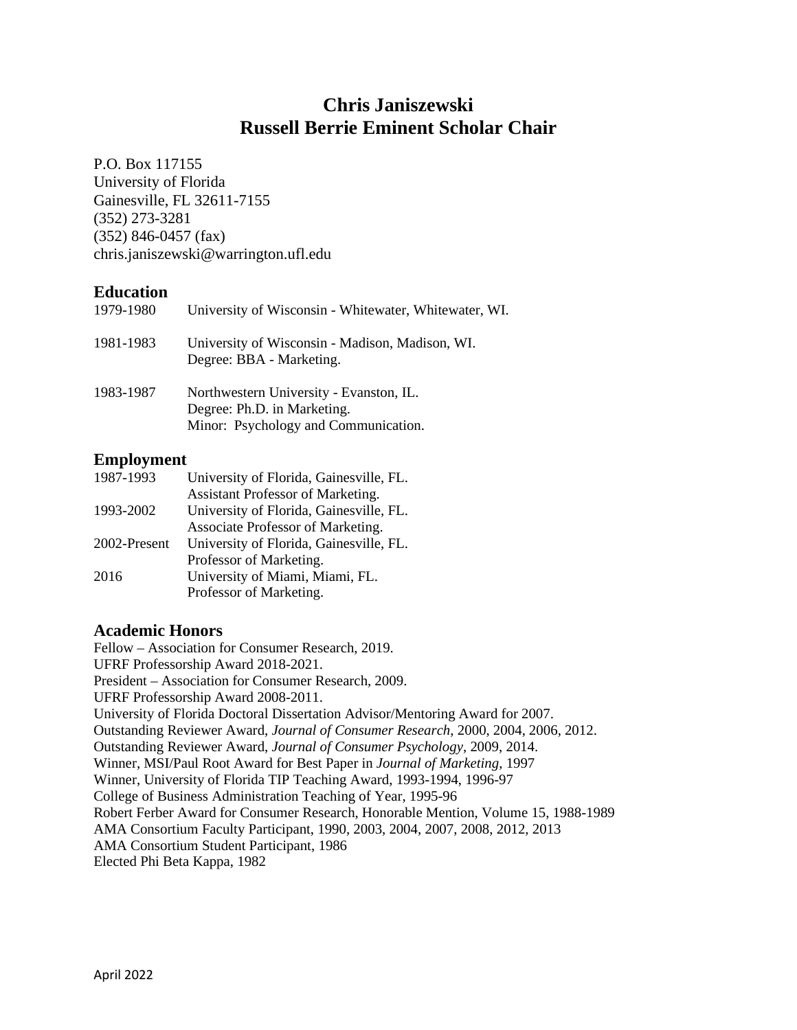# **Chris Janiszewski Russell Berrie Eminent Scholar Chair**

P.O. Box 117155 University of Florida Gainesville, FL 32611-7155 (352) 273-3281 (352) 846-0457 (fax) chris.janiszewski@warrington.ufl.edu

# **Education**

| 1979-1980 | University of Wisconsin - Whitewater, Whitewater, WI.                                                          |
|-----------|----------------------------------------------------------------------------------------------------------------|
| 1981-1983 | University of Wisconsin - Madison, Madison, WI.<br>Degree: BBA - Marketing.                                    |
| 1983-1987 | Northwestern University - Evanston, IL.<br>Degree: Ph.D. in Marketing.<br>Minor: Psychology and Communication. |

# **Employment**

| 1987-1993    | University of Florida, Gainesville, FL. |
|--------------|-----------------------------------------|
|              | Assistant Professor of Marketing.       |
| 1993-2002    | University of Florida, Gainesville, FL. |
|              | Associate Professor of Marketing.       |
| 2002-Present | University of Florida, Gainesville, FL. |
|              | Professor of Marketing.                 |
| 2016         | University of Miami, Miami, FL.         |
|              | Professor of Marketing.                 |

# **Academic Honors**

Fellow – Association for Consumer Research, 2019. UFRF Professorship Award 2018-2021. President – Association for Consumer Research, 2009. UFRF Professorship Award 2008-2011. University of Florida Doctoral Dissertation Advisor/Mentoring Award for 2007. Outstanding Reviewer Award, *Journal of Consumer Research*, 2000, 2004, 2006, 2012. Outstanding Reviewer Award, *Journal of Consumer Psychology*, 2009, 2014. Winner, MSI/Paul Root Award for Best Paper in *Journal of Marketing*, 1997 Winner, University of Florida TIP Teaching Award, 1993-1994, 1996-97 College of Business Administration Teaching of Year, 1995-96 Robert Ferber Award for Consumer Research, Honorable Mention, Volume 15, 1988-1989 AMA Consortium Faculty Participant, 1990, 2003, 2004, 2007, 2008, 2012, 2013 AMA Consortium Student Participant, 1986 Elected Phi Beta Kappa, 1982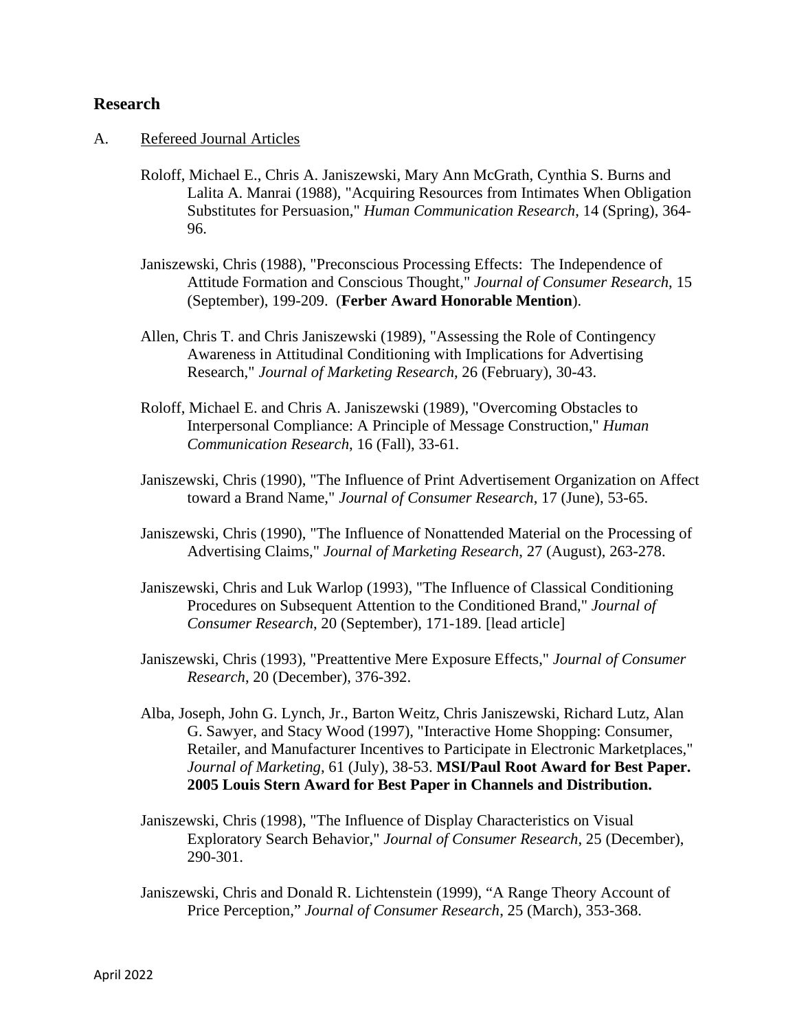#### **Research**

- A. Refereed Journal Articles
	- Roloff, Michael E., Chris A. Janiszewski, Mary Ann McGrath, Cynthia S. Burns and Lalita A. Manrai (1988), "Acquiring Resources from Intimates When Obligation Substitutes for Persuasion," *Human Communication Research*, 14 (Spring), 364- 96.
	- Janiszewski, Chris (1988), "Preconscious Processing Effects: The Independence of Attitude Formation and Conscious Thought," *Journal of Consumer Research*, 15 (September), 199-209. (**Ferber Award Honorable Mention**).
	- Allen, Chris T. and Chris Janiszewski (1989), "Assessing the Role of Contingency Awareness in Attitudinal Conditioning with Implications for Advertising Research," *Journal of Marketing Research*, 26 (February), 30-43.
	- Roloff, Michael E. and Chris A. Janiszewski (1989), "Overcoming Obstacles to Interpersonal Compliance: A Principle of Message Construction," *Human Communication Research*, 16 (Fall), 33-61.
	- Janiszewski, Chris (1990), "The Influence of Print Advertisement Organization on Affect toward a Brand Name," *Journal of Consumer Research*, 17 (June), 53-65.
	- Janiszewski, Chris (1990), "The Influence of Nonattended Material on the Processing of Advertising Claims," *Journal of Marketing Research*, 27 (August), 263-278.
	- Janiszewski, Chris and Luk Warlop (1993), "The Influence of Classical Conditioning Procedures on Subsequent Attention to the Conditioned Brand," *Journal of Consumer Research*, 20 (September), 171-189. [lead article]
	- Janiszewski, Chris (1993), "Preattentive Mere Exposure Effects," *Journal of Consumer Research*, 20 (December), 376-392.
	- Alba, Joseph, John G. Lynch, Jr., Barton Weitz, Chris Janiszewski, Richard Lutz, Alan G. Sawyer, and Stacy Wood (1997), "Interactive Home Shopping: Consumer, Retailer, and Manufacturer Incentives to Participate in Electronic Marketplaces," *Journal of Marketing*, 61 (July), 38-53. **MSI/Paul Root Award for Best Paper. 2005 Louis Stern Award for Best Paper in Channels and Distribution.**
	- Janiszewski, Chris (1998), "The Influence of Display Characteristics on Visual Exploratory Search Behavior," *Journal of Consumer Research*, 25 (December), 290-301.
	- Janiszewski, Chris and Donald R. Lichtenstein (1999), "A Range Theory Account of Price Perception," *Journal of Consumer Research*, 25 (March), 353-368.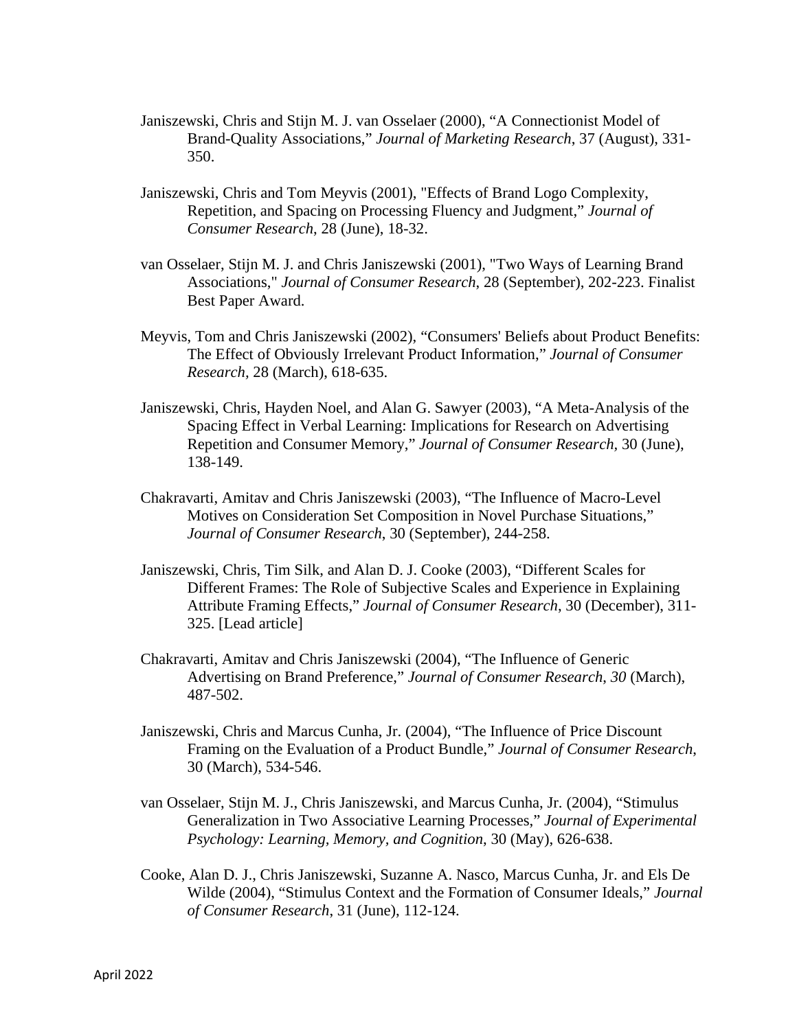- Janiszewski, Chris and Stijn M. J. van Osselaer (2000), "A Connectionist Model of Brand-Quality Associations," *Journal of Marketing Research*, 37 (August), 331- 350.
- Janiszewski, Chris and Tom Meyvis (2001), "Effects of Brand Logo Complexity, Repetition, and Spacing on Processing Fluency and Judgment," *Journal of Consumer Research*, 28 (June), 18-32.
- van Osselaer, Stijn M. J. and Chris Janiszewski (2001), "Two Ways of Learning Brand Associations," *Journal of Consumer Research*, 28 (September), 202-223. Finalist Best Paper Award.
- Meyvis, Tom and Chris Janiszewski (2002), "Consumers' Beliefs about Product Benefits: The Effect of Obviously Irrelevant Product Information," *Journal of Consumer Research,* 28 (March), 618-635.
- Janiszewski, Chris, Hayden Noel, and Alan G. Sawyer (2003), "A Meta-Analysis of the Spacing Effect in Verbal Learning: Implications for Research on Advertising Repetition and Consumer Memory," *Journal of Consumer Research,* 30 (June), 138-149.
- Chakravarti, Amitav and Chris Janiszewski (2003), "The Influence of Macro-Level Motives on Consideration Set Composition in Novel Purchase Situations," *Journal of Consumer Research*, 30 (September), 244-258.
- Janiszewski, Chris, Tim Silk, and Alan D. J. Cooke (2003), "Different Scales for Different Frames: The Role of Subjective Scales and Experience in Explaining Attribute Framing Effects," *Journal of Consumer Research*, 30 (December), 311- 325. [Lead article]
- Chakravarti, Amitav and Chris Janiszewski (2004), "The Influence of Generic Advertising on Brand Preference," *Journal of Consumer Research*, *30* (March), 487-502.
- Janiszewski, Chris and Marcus Cunha, Jr. (2004), "The Influence of Price Discount Framing on the Evaluation of a Product Bundle," *Journal of Consumer Research*, 30 (March), 534-546.
- van Osselaer, Stijn M. J., Chris Janiszewski, and Marcus Cunha, Jr. (2004), "Stimulus Generalization in Two Associative Learning Processes," *Journal of Experimental Psychology: Learning, Memory, and Cognition*, 30 (May), 626-638.
- Cooke, Alan D. J., Chris Janiszewski, Suzanne A. Nasco, Marcus Cunha, Jr. and Els De Wilde (2004), "Stimulus Context and the Formation of Consumer Ideals," *Journal of Consumer Research*, 31 (June), 112-124.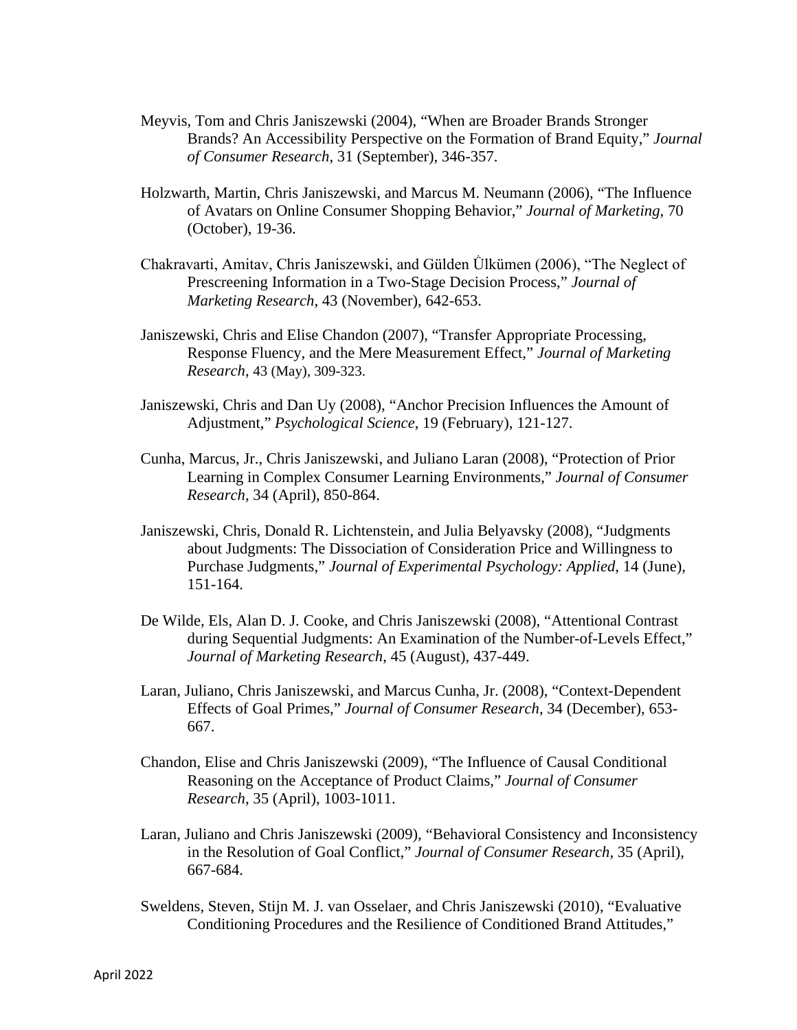- Meyvis, Tom and Chris Janiszewski (2004), "When are Broader Brands Stronger Brands? An Accessibility Perspective on the Formation of Brand Equity," *Journal of Consumer Research*, 31 (September), 346-357.
- Holzwarth, Martin, Chris Janiszewski, and Marcus M. Neumann (2006), "The Influence of Avatars on Online Consumer Shopping Behavior," *Journal of Marketing*, 70 (October), 19-36.
- Chakravarti, Amitav, Chris Janiszewski, and Gülden Ülkümen (2006), "The Neglect of Prescreening Information in a Two-Stage Decision Process," *Journal of Marketing Research*, 43 (November), 642-653.
- Janiszewski, Chris and Elise Chandon (2007), "Transfer Appropriate Processing, Response Fluency, and the Mere Measurement Effect," *Journal of Marketing Research*, 43 (May), 309-323.
- Janiszewski, Chris and Dan Uy (2008), "Anchor Precision Influences the Amount of Adjustment," *Psychological Science*, 19 (February), 121-127.
- Cunha, Marcus, Jr., Chris Janiszewski, and Juliano Laran (2008), "Protection of Prior Learning in Complex Consumer Learning Environments," *Journal of Consumer Research*, 34 (April), 850-864.
- Janiszewski, Chris, Donald R. Lichtenstein, and Julia Belyavsky (2008), "Judgments about Judgments: The Dissociation of Consideration Price and Willingness to Purchase Judgments," *Journal of Experimental Psychology: Applied*, 14 (June), 151-164.
- De Wilde, Els, Alan D. J. Cooke, and Chris Janiszewski (2008), "Attentional Contrast during Sequential Judgments: An Examination of the Number-of-Levels Effect," *Journal of Marketing Research*, 45 (August), 437-449.
- Laran, Juliano, Chris Janiszewski, and Marcus Cunha, Jr. (2008), "Context-Dependent Effects of Goal Primes," *Journal of Consumer Research*, 34 (December), 653- 667.
- Chandon, Elise and Chris Janiszewski (2009), "The Influence of Causal Conditional Reasoning on the Acceptance of Product Claims," *Journal of Consumer Research*, 35 (April), 1003-1011.
- Laran, Juliano and Chris Janiszewski (2009), "Behavioral Consistency and Inconsistency in the Resolution of Goal Conflict," *Journal of Consumer Research,* 35 (April), 667-684.
- Sweldens, Steven, Stijn M. J. van Osselaer, and Chris Janiszewski (2010), "Evaluative Conditioning Procedures and the Resilience of Conditioned Brand Attitudes,"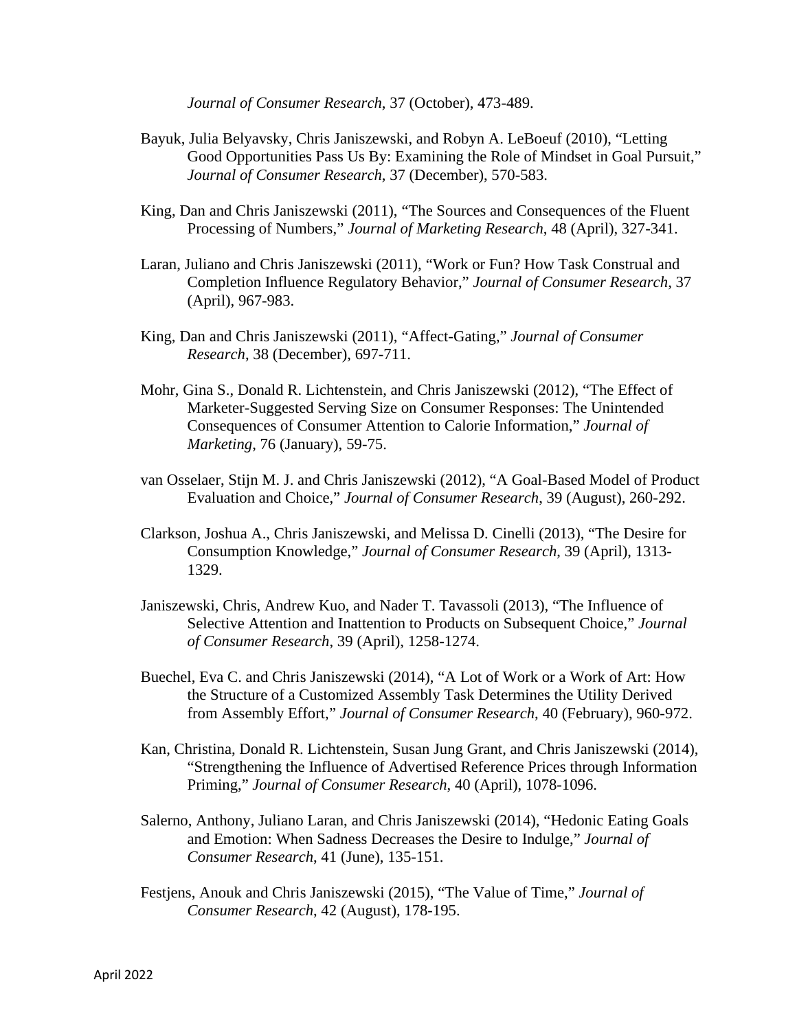*Journal of Consumer Research*, 37 (October), 473-489.

- Bayuk, Julia Belyavsky, Chris Janiszewski, and Robyn A. LeBoeuf (2010), "Letting Good Opportunities Pass Us By: Examining the Role of Mindset in Goal Pursuit," *Journal of Consumer Research*, 37 (December), 570-583.
- King, Dan and Chris Janiszewski (2011), "The Sources and Consequences of the Fluent Processing of Numbers," *Journal of Marketing Research*, 48 (April), 327-341.
- Laran, Juliano and Chris Janiszewski (2011), "Work or Fun? How Task Construal and Completion Influence Regulatory Behavior," *Journal of Consumer Research*, 37 (April), 967-983.
- King, Dan and Chris Janiszewski (2011), "Affect-Gating," *Journal of Consumer Research*, 38 (December), 697-711.
- Mohr, Gina S., Donald R. Lichtenstein, and Chris Janiszewski (2012), "The Effect of Marketer-Suggested Serving Size on Consumer Responses: The Unintended Consequences of Consumer Attention to Calorie Information," *Journal of Marketing*, 76 (January), 59-75.
- van Osselaer, Stijn M. J. and Chris Janiszewski (2012), "A Goal-Based Model of Product Evaluation and Choice," *Journal of Consumer Research*, 39 (August), 260-292.
- Clarkson, Joshua A., Chris Janiszewski, and Melissa D. Cinelli (2013), "The Desire for Consumption Knowledge," *Journal of Consumer Research*, 39 (April), 1313- 1329.
- Janiszewski, Chris, Andrew Kuo, and Nader T. Tavassoli (2013), "The Influence of Selective Attention and Inattention to Products on Subsequent Choice," *Journal of Consumer Research*, 39 (April), 1258-1274.
- Buechel, Eva C. and Chris Janiszewski (2014), "A Lot of Work or a Work of Art: How the Structure of a Customized Assembly Task Determines the Utility Derived from Assembly Effort," *Journal of Consumer Research*, 40 (February), 960-972.
- Kan, Christina, Donald R. Lichtenstein, Susan Jung Grant, and Chris Janiszewski (2014), "Strengthening the Influence of Advertised Reference Prices through Information Priming," *Journal of Consumer Research*, 40 (April), 1078-1096.
- Salerno, Anthony, Juliano Laran, and Chris Janiszewski (2014), "Hedonic Eating Goals and Emotion: When Sadness Decreases the Desire to Indulge," *Journal of Consumer Research*, 41 (June), 135-151.
- Festjens, Anouk and Chris Janiszewski (2015), "The Value of Time," *Journal of Consumer Research*, 42 (August), 178-195.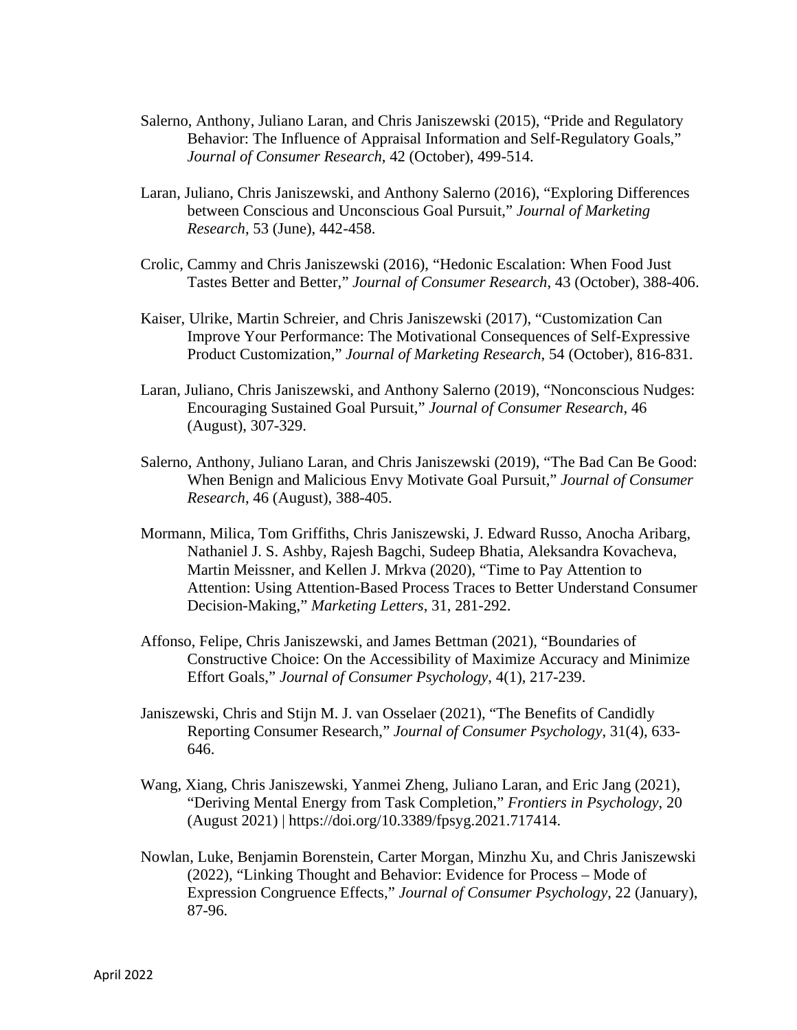- Salerno, Anthony, Juliano Laran, and Chris Janiszewski (2015), "Pride and Regulatory Behavior: The Influence of Appraisal Information and Self-Regulatory Goals," *Journal of Consumer Research*, 42 (October), 499-514.
- Laran, Juliano, Chris Janiszewski, and Anthony Salerno (2016), "Exploring Differences between Conscious and Unconscious Goal Pursuit," *Journal of Marketing Research*, 53 (June), 442-458.
- Crolic, Cammy and Chris Janiszewski (2016), "Hedonic Escalation: When Food Just Tastes Better and Better," *Journal of Consumer Research*, 43 (October), 388-406.
- Kaiser, Ulrike, Martin Schreier, and Chris Janiszewski (2017), "Customization Can Improve Your Performance: The Motivational Consequences of Self-Expressive Product Customization," *Journal of Marketing Research*, 54 (October), 816-831.
- Laran, Juliano, Chris Janiszewski, and Anthony Salerno (2019), "Nonconscious Nudges: Encouraging Sustained Goal Pursuit," *Journal of Consumer Research*, 46 (August), 307-329.
- Salerno, Anthony, Juliano Laran, and Chris Janiszewski (2019), "The Bad Can Be Good: When Benign and Malicious Envy Motivate Goal Pursuit*,*" *Journal of Consumer Research*, 46 (August), 388-405.
- Mormann, Milica, Tom Griffiths, Chris Janiszewski, J. Edward Russo, Anocha Aribarg, Nathaniel J. S. Ashby, Rajesh Bagchi, Sudeep Bhatia, Aleksandra Kovacheva, Martin Meissner, and Kellen J. Mrkva (2020), "Time to Pay Attention to Attention: Using Attention-Based Process Traces to Better Understand Consumer Decision-Making," *Marketing Letters*, 31, 281-292.
- Affonso, Felipe, Chris Janiszewski, and James Bettman (2021), "Boundaries of Constructive Choice: On the Accessibility of Maximize Accuracy and Minimize Effort Goals," *Journal of Consumer Psychology*, 4(1), 217-239.
- Janiszewski, Chris and Stijn M. J. van Osselaer (2021), "The Benefits of Candidly Reporting Consumer Research," *Journal of Consumer Psychology*, 31(4), 633- 646.
- Wang, Xiang, Chris Janiszewski, Yanmei Zheng, Juliano Laran, and Eric Jang (2021), "Deriving Mental Energy from Task Completion," *Frontiers in Psychology*, 20 (August 2021) | https://doi.org/10.3389/fpsyg.2021.717414.
- Nowlan, Luke, Benjamin Borenstein, Carter Morgan, Minzhu Xu, and Chris Janiszewski (2022), "Linking Thought and Behavior: Evidence for Process – Mode of Expression Congruence Effects," *Journal of Consumer Psychology*, 22 (January), 87-96.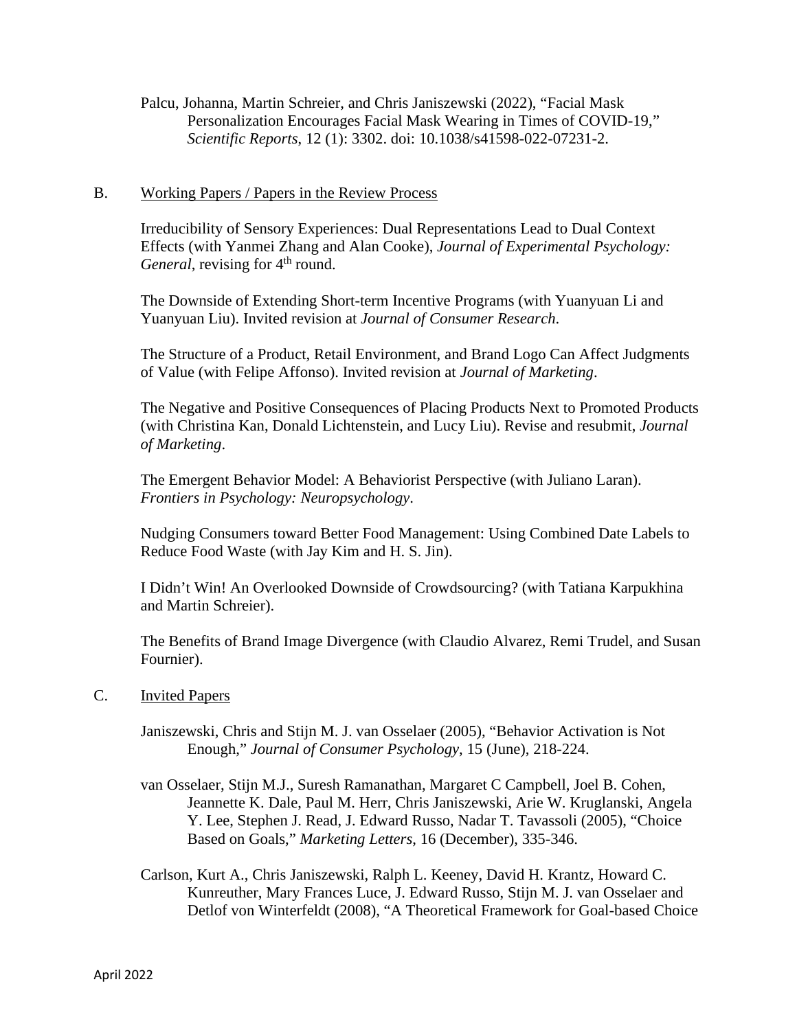Palcu, Johanna, Martin Schreier, and Chris Janiszewski (2022), "Facial Mask Personalization Encourages Facial Mask Wearing in Times of COVID-19," *Scientific Reports*, 12 (1): 3302. doi: 10.1038/s41598-022-07231-2.

#### B. Working Papers / Papers in the Review Process

Irreducibility of Sensory Experiences: Dual Representations Lead to Dual Context Effects (with Yanmei Zhang and Alan Cooke), *Journal of Experimental Psychology: General*, revising for 4<sup>th</sup> round.

The Downside of Extending Short-term Incentive Programs (with Yuanyuan Li and Yuanyuan Liu). Invited revision at *Journal of Consumer Research*.

The Structure of a Product, Retail Environment, and Brand Logo Can Affect Judgments of Value (with Felipe Affonso). Invited revision at *Journal of Marketing*.

The Negative and Positive Consequences of Placing Products Next to Promoted Products (with Christina Kan, Donald Lichtenstein, and Lucy Liu). Revise and resubmit, *Journal of Marketing*.

The Emergent Behavior Model: A Behaviorist Perspective (with Juliano Laran). *Frontiers in Psychology: Neuropsychology*.

Nudging Consumers toward Better Food Management: Using Combined Date Labels to Reduce Food Waste (with Jay Kim and H. S. Jin).

I Didn't Win! An Overlooked Downside of Crowdsourcing? (with Tatiana Karpukhina and Martin Schreier).

The Benefits of Brand Image Divergence (with Claudio Alvarez, Remi Trudel, and Susan Fournier).

#### C. Invited Papers

Janiszewski, Chris and Stijn M. J. van Osselaer (2005), "Behavior Activation is Not Enough," *Journal of Consumer Psychology*, 15 (June), 218-224.

- van Osselaer, Stijn M.J., Suresh Ramanathan, Margaret C Campbell, Joel B. Cohen, Jeannette K. Dale, Paul M. Herr, Chris Janiszewski, Arie W. Kruglanski, Angela Y. Lee, Stephen J. Read, J. Edward Russo, Nadar T. Tavassoli (2005), "Choice Based on Goals," *Marketing Letters*, 16 (December), 335-346.
- Carlson, Kurt A., Chris Janiszewski, Ralph L. Keeney, David H. Krantz, Howard C. Kunreuther, Mary Frances Luce, J. Edward Russo, Stijn M. J. van Osselaer and Detlof von Winterfeldt (2008), "A Theoretical Framework for Goal-based Choice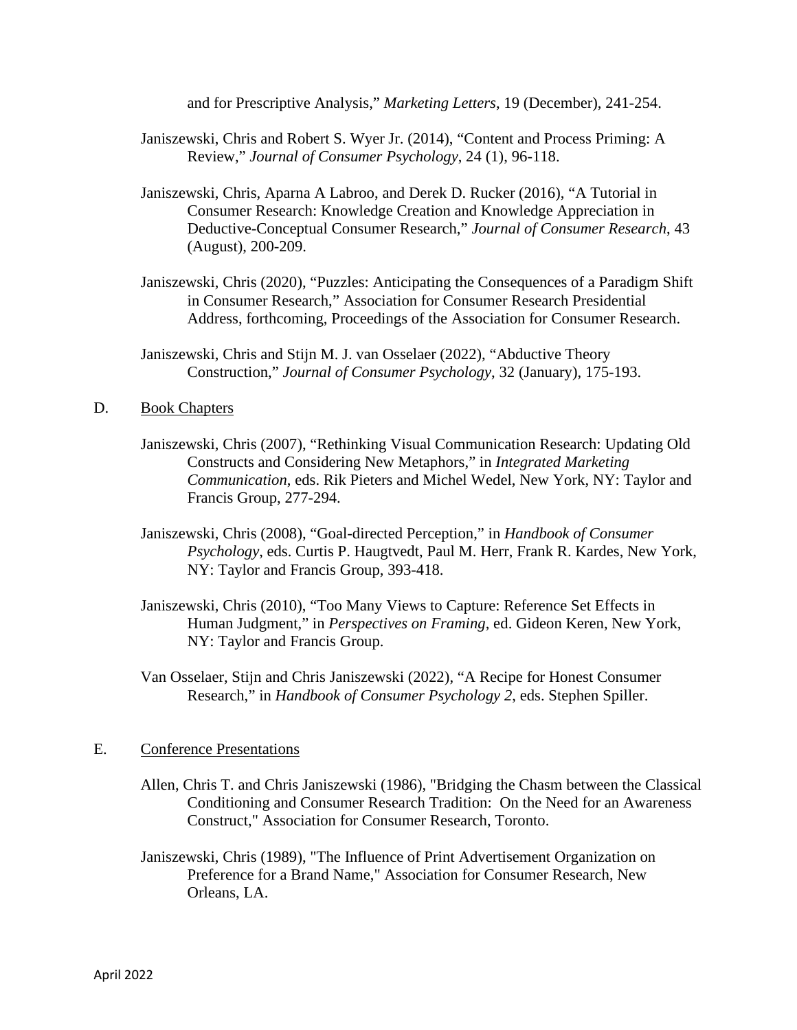and for Prescriptive Analysis," *Marketing Letters*, 19 (December), 241-254.

- Janiszewski, Chris and Robert S. Wyer Jr. (2014), "Content and Process Priming: A Review," *Journal of Consumer Psychology*, 24 (1), 96-118.
- Janiszewski, Chris, Aparna A Labroo, and Derek D. Rucker (2016), "A Tutorial in Consumer Research: Knowledge Creation and Knowledge Appreciation in Deductive-Conceptual Consumer Research," *Journal of Consumer Research*, 43 (August), 200-209.
- Janiszewski, Chris (2020), "Puzzles: Anticipating the Consequences of a Paradigm Shift in Consumer Research," Association for Consumer Research Presidential Address, forthcoming, Proceedings of the Association for Consumer Research.
- Janiszewski, Chris and Stijn M. J. van Osselaer (2022), "Abductive Theory Construction," *Journal of Consumer Psychology*, 32 (January), 175-193.

#### D. Book Chapters

- Janiszewski, Chris (2007), "Rethinking Visual Communication Research: Updating Old Constructs and Considering New Metaphors," in *Integrated Marketing Communication*, eds. Rik Pieters and Michel Wedel, New York, NY: Taylor and Francis Group, 277-294.
- Janiszewski, Chris (2008), "Goal-directed Perception," in *Handbook of Consumer Psychology*, eds. Curtis P. Haugtvedt, Paul M. Herr, Frank R. Kardes, New York, NY: Taylor and Francis Group, 393-418.
- Janiszewski, Chris (2010), "Too Many Views to Capture: Reference Set Effects in Human Judgment," in *Perspectives on Framing*, ed. Gideon Keren, New York, NY: Taylor and Francis Group.
- Van Osselaer, Stijn and Chris Janiszewski (2022), "A Recipe for Honest Consumer Research," in *Handbook of Consumer Psychology 2*, eds. Stephen Spiller.

#### E. Conference Presentations

- Allen, Chris T. and Chris Janiszewski (1986), "Bridging the Chasm between the Classical Conditioning and Consumer Research Tradition: On the Need for an Awareness Construct," Association for Consumer Research, Toronto.
- Janiszewski, Chris (1989), "The Influence of Print Advertisement Organization on Preference for a Brand Name," Association for Consumer Research, New Orleans, LA.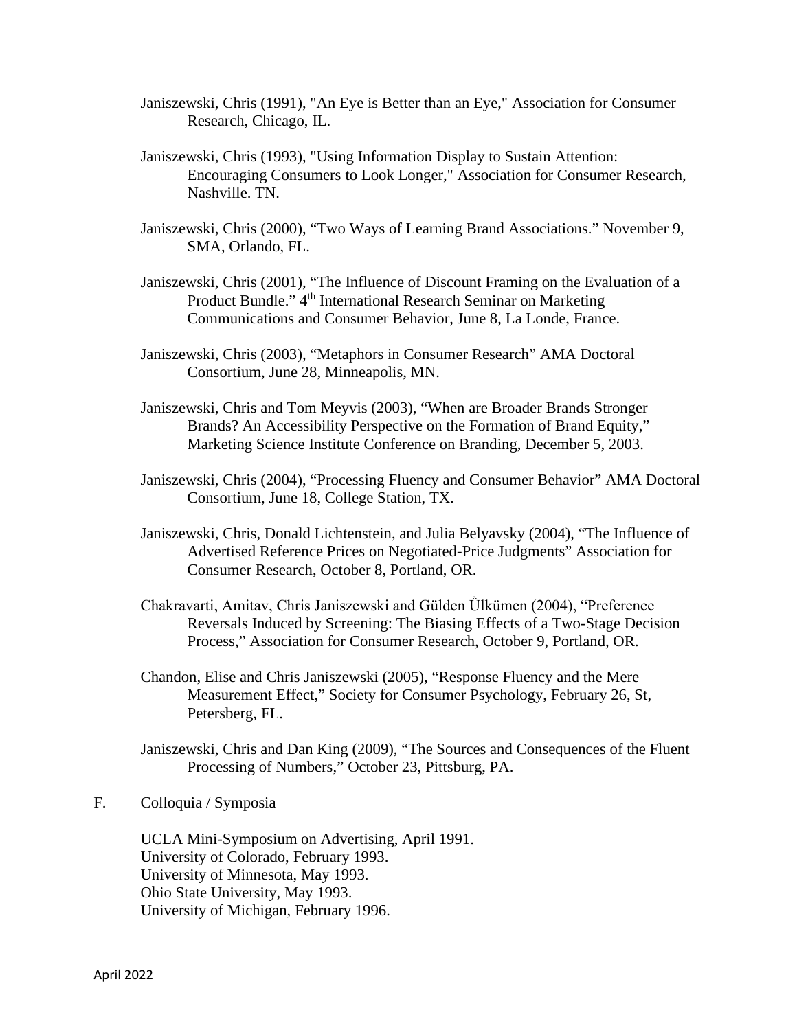- Janiszewski, Chris (1991), "An Eye is Better than an Eye," Association for Consumer Research, Chicago, IL.
- Janiszewski, Chris (1993), "Using Information Display to Sustain Attention: Encouraging Consumers to Look Longer," Association for Consumer Research, Nashville. TN.
- Janiszewski, Chris (2000), "Two Ways of Learning Brand Associations." November 9, SMA, Orlando, FL.
- Janiszewski, Chris (2001), "The Influence of Discount Framing on the Evaluation of a Product Bundle." 4<sup>th</sup> International Research Seminar on Marketing Communications and Consumer Behavior, June 8, La Londe, France.
- Janiszewski, Chris (2003), "Metaphors in Consumer Research" AMA Doctoral Consortium, June 28, Minneapolis, MN.
- Janiszewski, Chris and Tom Meyvis (2003), "When are Broader Brands Stronger Brands? An Accessibility Perspective on the Formation of Brand Equity," Marketing Science Institute Conference on Branding, December 5, 2003.
- Janiszewski, Chris (2004), "Processing Fluency and Consumer Behavior" AMA Doctoral Consortium, June 18, College Station, TX.
- Janiszewski, Chris, Donald Lichtenstein, and Julia Belyavsky (2004), "The Influence of Advertised Reference Prices on Negotiated-Price Judgments" Association for Consumer Research, October 8, Portland, OR.
- Chakravarti, Amitav, Chris Janiszewski and Gülden Ǜlkümen (2004), "Preference Reversals Induced by Screening: The Biasing Effects of a Two-Stage Decision Process," Association for Consumer Research, October 9, Portland, OR.
- Chandon, Elise and Chris Janiszewski (2005), "Response Fluency and the Mere Measurement Effect," Society for Consumer Psychology, February 26, St, Petersberg, FL.
- Janiszewski, Chris and Dan King (2009), "The Sources and Consequences of the Fluent Processing of Numbers," October 23, Pittsburg, PA.

#### F. Colloquia / Symposia

UCLA Mini-Symposium on Advertising, April 1991. University of Colorado, February 1993. University of Minnesota, May 1993. Ohio State University, May 1993. University of Michigan, February 1996.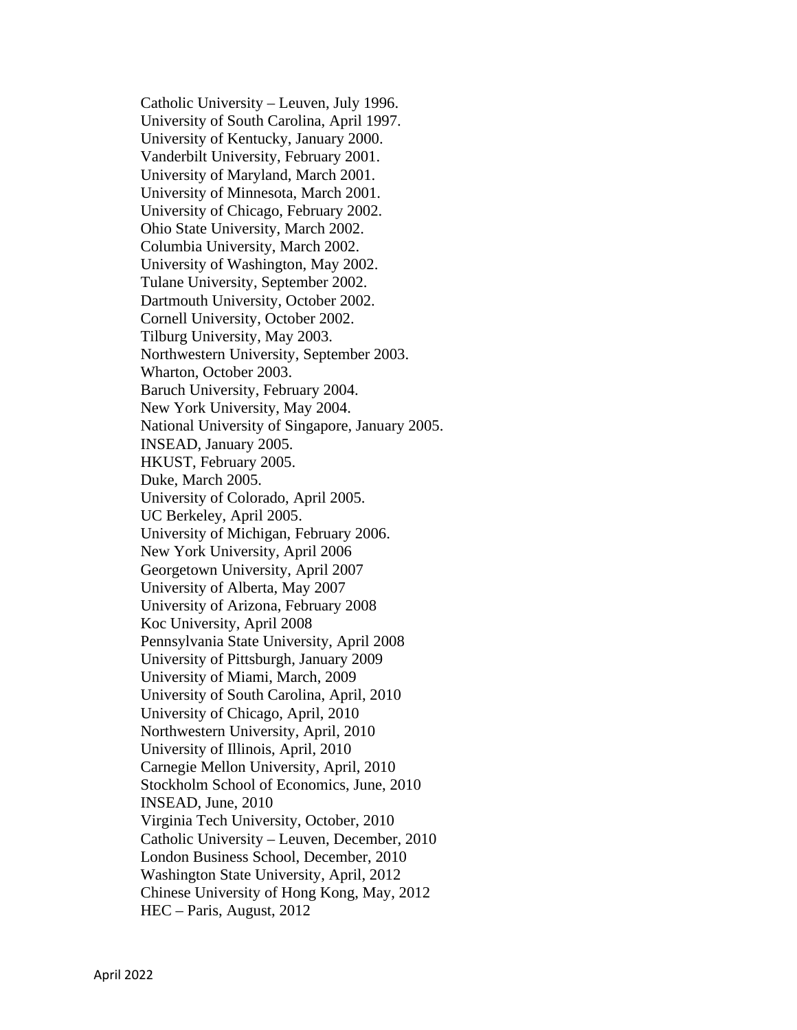Catholic University – Leuven, July 1996. University of South Carolina, April 1997. University of Kentucky, January 2000. Vanderbilt University, February 2001. University of Maryland, March 2001. University of Minnesota, March 2001. University of Chicago, February 2002. Ohio State University, March 2002. Columbia University, March 2002. University of Washington, May 2002. Tulane University, September 2002. Dartmouth University, October 2002. Cornell University, October 2002. Tilburg University, May 2003. Northwestern University, September 2003. Wharton, October 2003. Baruch University, February 2004. New York University, May 2004. National University of Singapore, January 2005. INSEAD, January 2005. HKUST, February 2005. Duke, March 2005. University of Colorado, April 2005. UC Berkeley, April 2005. University of Michigan, February 2006. New York University, April 2006 Georgetown University, April 2007 University of Alberta, May 2007 University of Arizona, February 2008 Koc University, April 2008 Pennsylvania State University, April 2008 University of Pittsburgh, January 2009 University of Miami, March, 2009 University of South Carolina, April, 2010 University of Chicago, April, 2010 Northwestern University, April, 2010 University of Illinois, April, 2010 Carnegie Mellon University, April, 2010 Stockholm School of Economics, June, 2010 INSEAD, June, 2010 Virginia Tech University, October, 2010 Catholic University – Leuven, December, 2010 London Business School, December, 2010 Washington State University, April, 2012 Chinese University of Hong Kong, May, 2012 HEC – Paris, August, 2012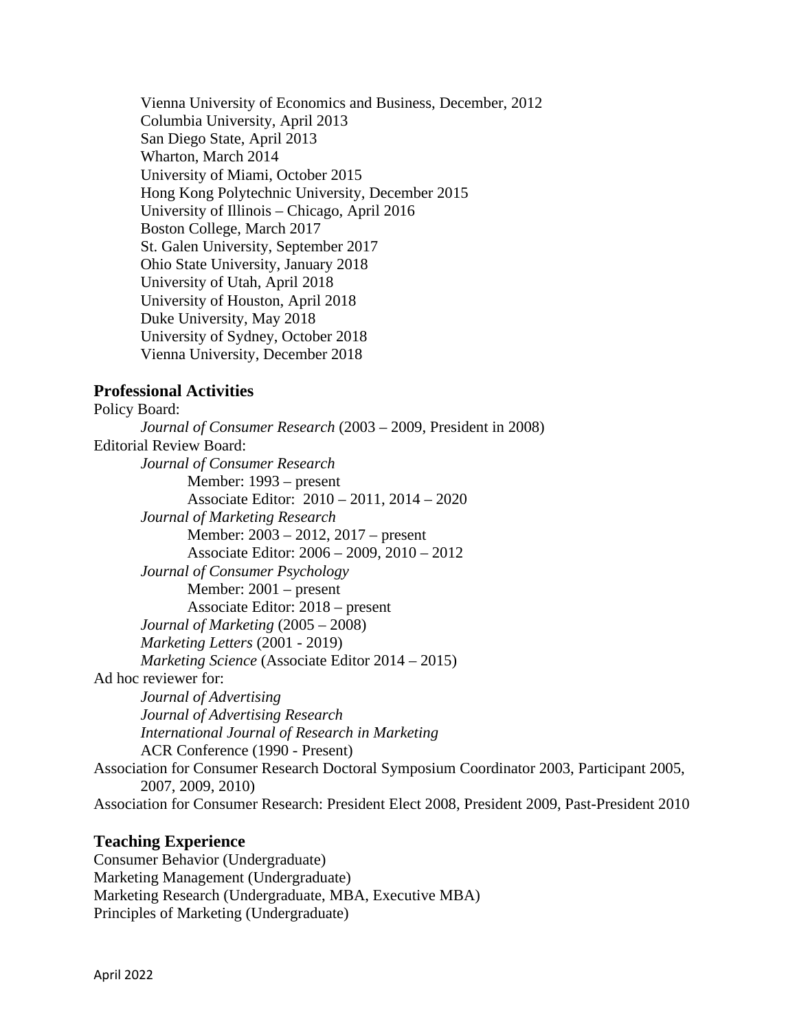Vienna University of Economics and Business, December, 2012 Columbia University, April 2013 San Diego State, April 2013 Wharton, March 2014 University of Miami, October 2015 Hong Kong Polytechnic University, December 2015 University of Illinois – Chicago, April 2016 Boston College, March 2017 St. Galen University, September 2017 Ohio State University, January 2018 University of Utah, April 2018 University of Houston, April 2018 Duke University, May 2018 University of Sydney, October 2018 Vienna University, December 2018

# **Professional Activities**

Policy Board: *Journal of Consumer Research* (2003 – 2009, President in 2008) Editorial Review Board: *Journal of Consumer Research* Member: 1993 – present Associate Editor: 2010 – 2011, 2014 – 2020 *Journal of Marketing Research* Member: 2003 – 2012, 2017 – present Associate Editor: 2006 – 2009, 2010 – 2012 *Journal of Consumer Psychology* Member: 2001 – present Associate Editor: 2018 – present *Journal of Marketing* (2005 – 2008) *Marketing Letters* (2001 - 2019) *Marketing Science* (Associate Editor 2014 – 2015) Ad hoc reviewer for: *Journal of Advertising Journal of Advertising Research International Journal of Research in Marketing* ACR Conference (1990 - Present) Association for Consumer Research Doctoral Symposium Coordinator 2003, Participant 2005, 2007, 2009, 2010) Association for Consumer Research: President Elect 2008, President 2009, Past-President 2010

#### **Teaching Experience**

Consumer Behavior (Undergraduate) Marketing Management (Undergraduate) Marketing Research (Undergraduate, MBA, Executive MBA) Principles of Marketing (Undergraduate)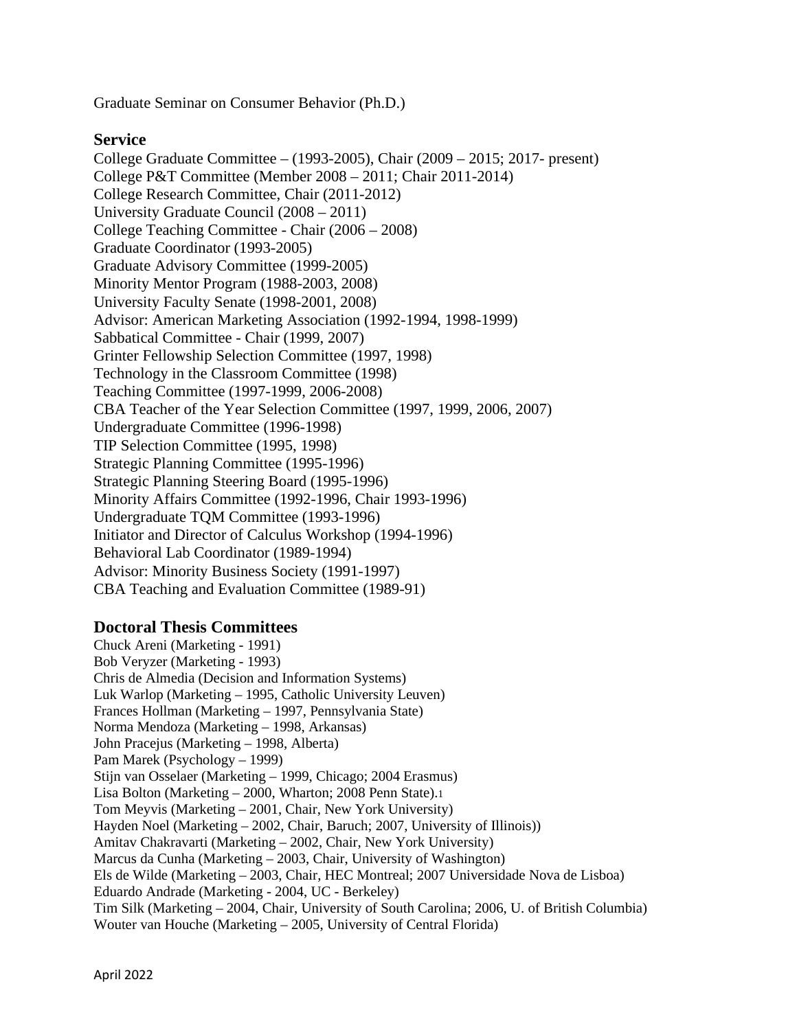Graduate Seminar on Consumer Behavior (Ph.D.)

### **Service**

College Graduate Committee – (1993-2005), Chair (2009 – 2015; 2017- present) College P&T Committee (Member 2008 – 2011; Chair 2011-2014) College Research Committee, Chair (2011-2012) University Graduate Council (2008 – 2011) College Teaching Committee - Chair (2006 – 2008) Graduate Coordinator (1993-2005) Graduate Advisory Committee (1999-2005) Minority Mentor Program (1988-2003, 2008) University Faculty Senate (1998-2001, 2008) Advisor: American Marketing Association (1992-1994, 1998-1999) Sabbatical Committee - Chair (1999, 2007) Grinter Fellowship Selection Committee (1997, 1998) Technology in the Classroom Committee (1998) Teaching Committee (1997-1999, 2006-2008) CBA Teacher of the Year Selection Committee (1997, 1999, 2006, 2007) Undergraduate Committee (1996-1998) TIP Selection Committee (1995, 1998) Strategic Planning Committee (1995-1996) Strategic Planning Steering Board (1995-1996) Minority Affairs Committee (1992-1996, Chair 1993-1996) Undergraduate TQM Committee (1993-1996) Initiator and Director of Calculus Workshop (1994-1996) Behavioral Lab Coordinator (1989-1994) Advisor: Minority Business Society (1991-1997) CBA Teaching and Evaluation Committee (1989-91)

# **Doctoral Thesis Committees**

Chuck Areni (Marketing - 1991) Bob Veryzer (Marketing - 1993) Chris de Almedia (Decision and Information Systems) Luk Warlop (Marketing – 1995, Catholic University Leuven) Frances Hollman (Marketing – 1997, Pennsylvania State) Norma Mendoza (Marketing – 1998, Arkansas) John Pracejus (Marketing – 1998, Alberta) Pam Marek (Psychology – 1999) Stijn van Osselaer (Marketing – 1999, Chicago; 2004 Erasmus) Lisa Bolton (Marketing – 2000, Wharton; 2008 Penn State).1 Tom Meyvis (Marketing – 2001, Chair, New York University) Hayden Noel (Marketing – 2002, Chair, Baruch; 2007, University of Illinois)) Amitav Chakravarti (Marketing – 2002, Chair, New York University) Marcus da Cunha (Marketing – 2003, Chair, University of Washington) Els de Wilde (Marketing – 2003, Chair, HEC Montreal; 2007 Universidade Nova de Lisboa) Eduardo Andrade (Marketing - 2004, UC - Berkeley) Tim Silk (Marketing – 2004, Chair, University of South Carolina; 2006, U. of British Columbia) Wouter van Houche (Marketing – 2005, University of Central Florida)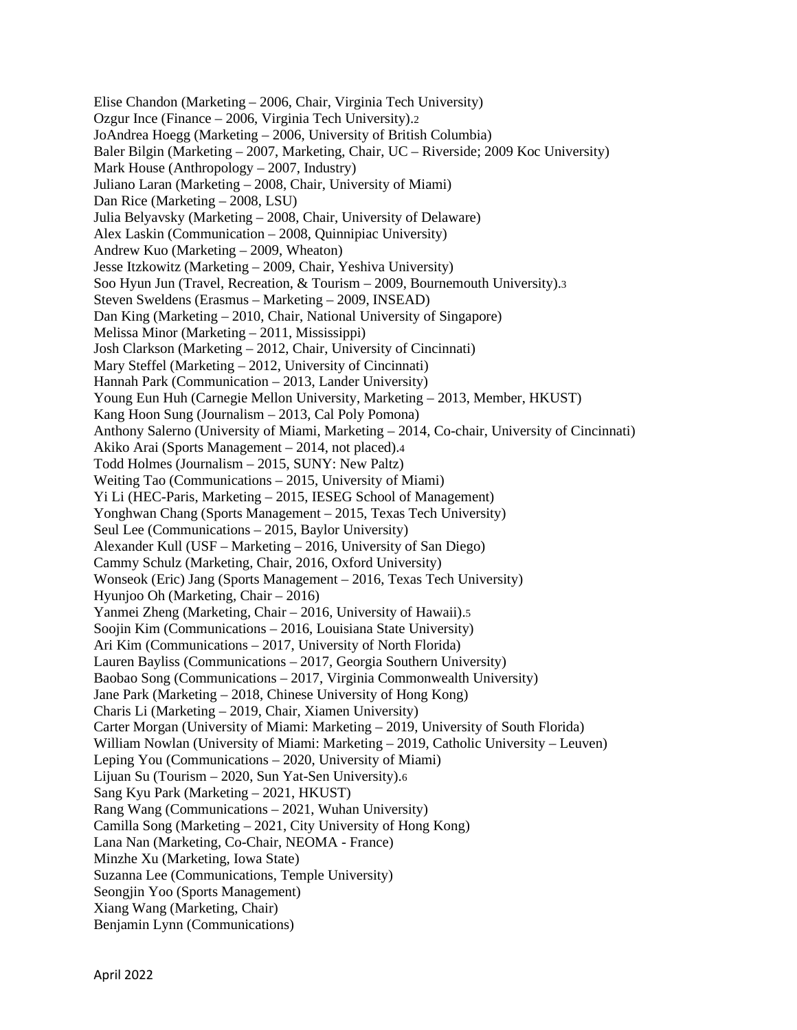Elise Chandon (Marketing – 2006, Chair, Virginia Tech University) Ozgur Ince (Finance – 2006, Virginia Tech University).2 JoAndrea Hoegg (Marketing – 2006, University of British Columbia) Baler Bilgin (Marketing – 2007, Marketing, Chair, UC – Riverside; 2009 Koc University) Mark House (Anthropology – 2007, Industry) Juliano Laran (Marketing – 2008, Chair, University of Miami) Dan Rice (Marketing – 2008, LSU) Julia Belyavsky (Marketing – 2008, Chair, University of Delaware) Alex Laskin (Communication – 2008, Quinnipiac University) Andrew Kuo (Marketing – 2009, Wheaton) Jesse Itzkowitz (Marketing – 2009, Chair, Yeshiva University) Soo Hyun Jun (Travel, Recreation, & Tourism – 2009, Bournemouth University).3 Steven Sweldens (Erasmus – Marketing – 2009, INSEAD) Dan King (Marketing – 2010, Chair, National University of Singapore) Melissa Minor (Marketing – 2011, Mississippi) Josh Clarkson (Marketing – 2012, Chair, University of Cincinnati) Mary Steffel (Marketing – 2012, University of Cincinnati) Hannah Park (Communication – 2013, Lander University) Young Eun Huh (Carnegie Mellon University, Marketing – 2013, Member, HKUST) Kang Hoon Sung (Journalism – 2013, Cal Poly Pomona) Anthony Salerno (University of Miami, Marketing – 2014, Co-chair, University of Cincinnati) Akiko Arai (Sports Management – 2014, not placed).4 Todd Holmes (Journalism – 2015, SUNY: New Paltz) Weiting Tao (Communications – 2015, University of Miami) Yi Li (HEC-Paris, Marketing – 2015, IESEG School of Management) Yonghwan Chang (Sports Management – 2015, Texas Tech University) Seul Lee (Communications – 2015, Baylor University) Alexander Kull (USF – Marketing – 2016, University of San Diego) Cammy Schulz (Marketing, Chair, 2016, Oxford University) Wonseok (Eric) Jang (Sports Management – 2016, Texas Tech University) Hyunjoo Oh (Marketing, Chair – 2016) Yanmei Zheng (Marketing, Chair – 2016, University of Hawaii).5 Soojin Kim (Communications – 2016, Louisiana State University) Ari Kim (Communications – 2017, University of North Florida) Lauren Bayliss (Communications – 2017, Georgia Southern University) Baobao Song (Communications – 2017, Virginia Commonwealth University) Jane Park (Marketing – 2018, Chinese University of Hong Kong) Charis Li (Marketing – 2019, Chair, Xiamen University) Carter Morgan (University of Miami: Marketing – 2019, University of South Florida) William Nowlan (University of Miami: Marketing – 2019, Catholic University – Leuven) Leping You (Communications – 2020, University of Miami) Lijuan Su (Tourism – 2020, Sun Yat-Sen University).6 Sang Kyu Park (Marketing – 2021, HKUST) Rang Wang (Communications – 2021, Wuhan University) Camilla Song (Marketing – 2021, City University of Hong Kong) Lana Nan (Marketing, Co-Chair, NEOMA - France) Minzhe Xu (Marketing, Iowa State) Suzanna Lee (Communications, Temple University) Seongjin Yoo (Sports Management) Xiang Wang (Marketing, Chair) Benjamin Lynn (Communications)